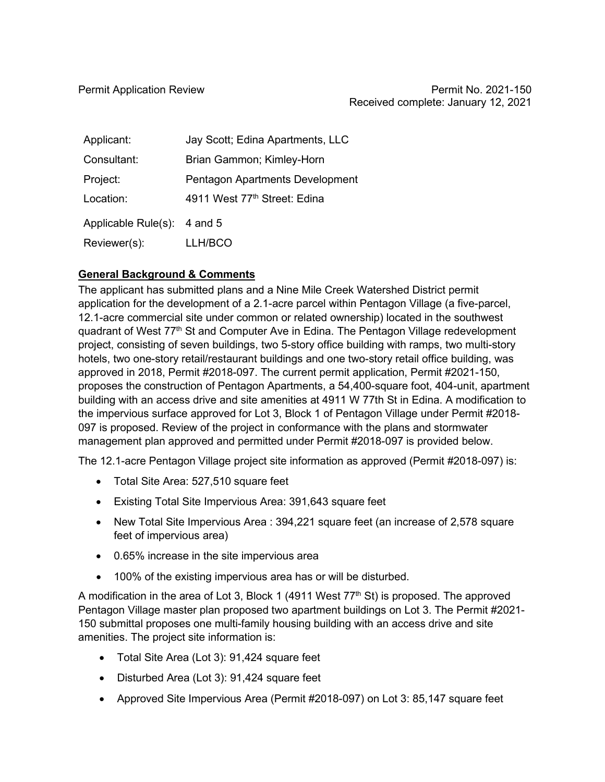| Applicant:                  | Jay Scott; Edina Apartments, LLC |
|-----------------------------|----------------------------------|
| Consultant:                 | Brian Gammon; Kimley-Horn        |
| Project:                    | Pentagon Apartments Development  |
| Location:                   | 4911 West 77th Street: Edina     |
| Applicable Rule(s): 4 and 5 |                                  |
| Reviewer(s):                | LLH/BCO                          |

## **General Background & Comments**

The applicant has submitted plans and a Nine Mile Creek Watershed District permit application for the development of a 2.1-acre parcel within Pentagon Village (a five-parcel, 12.1-acre commercial site under common or related ownership) located in the southwest quadrant of West 77<sup>th</sup> St and Computer Ave in Edina. The Pentagon Village redevelopment project, consisting of seven buildings, two 5-story office building with ramps, two multi-story hotels, two one-story retail/restaurant buildings and one two-story retail office building, was approved in 2018, Permit #2018-097. The current permit application, Permit #2021-150, proposes the construction of Pentagon Apartments, a 54,400-square foot, 404-unit, apartment building with an access drive and site amenities at 4911 W 77th St in Edina. A modification to the impervious surface approved for Lot 3, Block 1 of Pentagon Village under Permit #2018- 097 is proposed. Review of the project in conformance with the plans and stormwater management plan approved and permitted under Permit #2018-097 is provided below.

The 12.1-acre Pentagon Village project site information as approved (Permit #2018-097) is:

- Total Site Area: 527,510 square feet
- Existing Total Site Impervious Area: 391,643 square feet
- New Total Site Impervious Area : 394,221 square feet (an increase of 2,578 square feet of impervious area)
- 0.65% increase in the site impervious area
- 100% of the existing impervious area has or will be disturbed.

A modification in the area of Lot 3, Block 1 (4911 West  $77<sup>th</sup>$  St) is proposed. The approved Pentagon Village master plan proposed two apartment buildings on Lot 3. The Permit #2021- 150 submittal proposes one multi-family housing building with an access drive and site amenities. The project site information is:

- Total Site Area (Lot 3): 91,424 square feet
- Disturbed Area (Lot 3): 91,424 square feet
- Approved Site Impervious Area (Permit #2018-097) on Lot 3: 85,147 square feet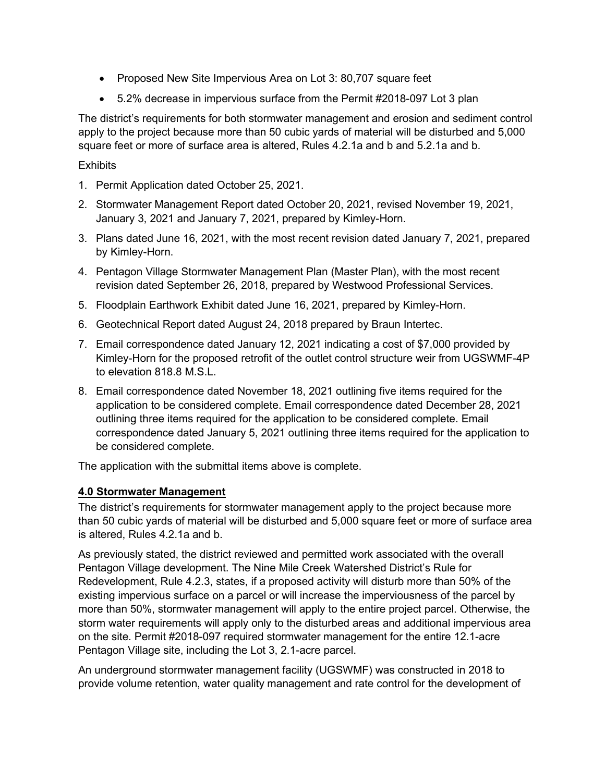- Proposed New Site Impervious Area on Lot 3: 80,707 square feet
- 5.2% decrease in impervious surface from the Permit #2018-097 Lot 3 plan

The district's requirements for both stormwater management and erosion and sediment control apply to the project because more than 50 cubic yards of material will be disturbed and 5,000 square feet or more of surface area is altered, Rules 4.2.1a and b and 5.2.1a and b.

#### **Exhibits**

- 1. Permit Application dated October 25, 2021.
- 2. Stormwater Management Report dated October 20, 2021, revised November 19, 2021, January 3, 2021 and January 7, 2021, prepared by Kimley-Horn.
- 3. Plans dated June 16, 2021, with the most recent revision dated January 7, 2021, prepared by Kimley-Horn.
- 4. Pentagon Village Stormwater Management Plan (Master Plan), with the most recent revision dated September 26, 2018, prepared by Westwood Professional Services.
- 5. Floodplain Earthwork Exhibit dated June 16, 2021, prepared by Kimley-Horn.
- 6. Geotechnical Report dated August 24, 2018 prepared by Braun Intertec.
- 7. Email correspondence dated January 12, 2021 indicating a cost of \$7,000 provided by Kimley-Horn for the proposed retrofit of the outlet control structure weir from UGSWMF-4P to elevation 818.8 M.S.L.
- 8. Email correspondence dated November 18, 2021 outlining five items required for the application to be considered complete. Email correspondence dated December 28, 2021 outlining three items required for the application to be considered complete. Email correspondence dated January 5, 2021 outlining three items required for the application to be considered complete.

The application with the submittal items above is complete.

#### **4.0 Stormwater Management**

The district's requirements for stormwater management apply to the project because more than 50 cubic yards of material will be disturbed and 5,000 square feet or more of surface area is altered, Rules 4.2.1a and b.

As previously stated, the district reviewed and permitted work associated with the overall Pentagon Village development. The Nine Mile Creek Watershed District's Rule for Redevelopment, Rule 4.2.3, states, if a proposed activity will disturb more than 50% of the existing impervious surface on a parcel or will increase the imperviousness of the parcel by more than 50%, stormwater management will apply to the entire project parcel. Otherwise, the storm water requirements will apply only to the disturbed areas and additional impervious area on the site. Permit #2018-097 required stormwater management for the entire 12.1-acre Pentagon Village site, including the Lot 3, 2.1-acre parcel.

An underground stormwater management facility (UGSWMF) was constructed in 2018 to provide volume retention, water quality management and rate control for the development of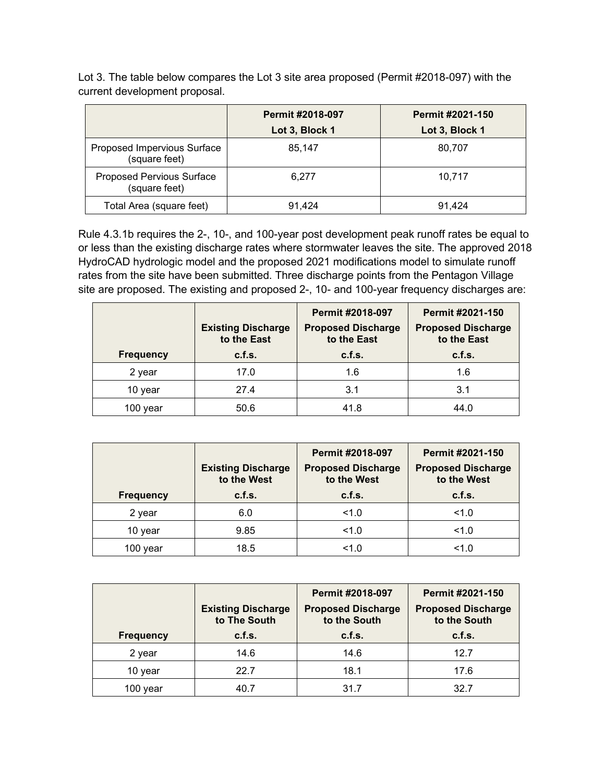|                                              | <b>Permit #2018-097</b> | <b>Permit #2021-150</b> |
|----------------------------------------------|-------------------------|-------------------------|
|                                              | Lot 3, Block 1          | Lot 3, Block 1          |
| Proposed Impervious Surface<br>(square feet) | 85.147                  | 80,707                  |
| Proposed Pervious Surface<br>(square feet)   | 6.277                   | 10.717                  |
| Total Area (square feet)                     | 91.424                  | 91.424                  |

Lot 3. The table below compares the Lot 3 site area proposed (Permit #2018-097) with the current development proposal.

Rule 4.3.1b requires the 2-, 10-, and 100-year post development peak runoff rates be equal to or less than the existing discharge rates where stormwater leaves the site. The approved 2018 HydroCAD hydrologic model and the proposed 2021 modifications model to simulate runoff rates from the site have been submitted. Three discharge points from the Pentagon Village site are proposed. The existing and proposed 2-, 10- and 100-year frequency discharges are:

|                  | <b>Existing Discharge</b><br>to the East | <b>Permit #2018-097</b><br><b>Proposed Discharge</b><br>to the East | <b>Permit #2021-150</b><br><b>Proposed Discharge</b><br>to the East |
|------------------|------------------------------------------|---------------------------------------------------------------------|---------------------------------------------------------------------|
| <b>Frequency</b> | c.f.s.                                   | c.f.s.                                                              | c.f.s.                                                              |
| 2 year           | 17.0                                     | 1.6                                                                 | 1.6                                                                 |
| 10 year          | 27.4                                     | 3.1                                                                 | 3.1                                                                 |
| 100 year         | 50.6                                     | 41.8                                                                | 44.0                                                                |

| <b>Frequency</b> | <b>Existing Discharge</b><br>to the West<br>c.f.s. | <b>Permit #2018-097</b><br><b>Proposed Discharge</b><br>to the West<br>c.f.s. | Permit #2021-150<br><b>Proposed Discharge</b><br>to the West<br>c.f.s. |
|------------------|----------------------------------------------------|-------------------------------------------------------------------------------|------------------------------------------------------------------------|
| 2 year           | 6.0                                                | 1.0                                                                           | 1.0                                                                    |
| 10 year          | 9.85                                               | 1.0                                                                           | 1.0                                                                    |
| 100 year         | 18.5                                               | 1.0                                                                           | 1.0                                                                    |

| <b>Frequency</b> | <b>Existing Discharge</b><br>to The South<br>c.f.s. | <b>Permit #2018-097</b><br><b>Proposed Discharge</b><br>to the South<br>c.f.s. | <b>Permit #2021-150</b><br><b>Proposed Discharge</b><br>to the South<br>c.f.s. |
|------------------|-----------------------------------------------------|--------------------------------------------------------------------------------|--------------------------------------------------------------------------------|
| 2 year           | 14.6                                                | 14.6                                                                           | 12.7                                                                           |
| 10 year          | 22.7                                                | 18.1                                                                           | 17.6                                                                           |
| year             | 40.7                                                | 31.7                                                                           | 32.7                                                                           |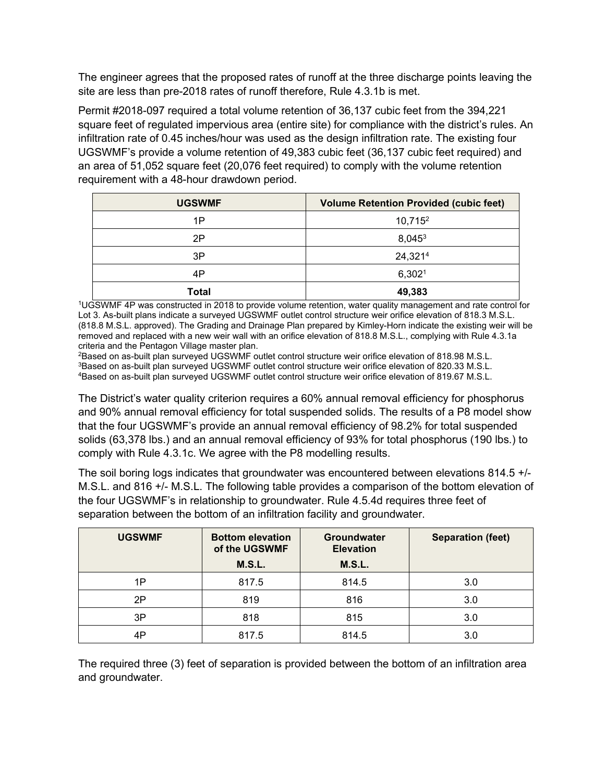The engineer agrees that the proposed rates of runoff at the three discharge points leaving the site are less than pre-2018 rates of runoff therefore, Rule 4.3.1b is met.

Permit #2018-097 required a total volume retention of 36,137 cubic feet from the 394,221 square feet of regulated impervious area (entire site) for compliance with the district's rules. An infiltration rate of 0.45 inches/hour was used as the design infiltration rate. The existing four UGSWMF's provide a volume retention of 49,383 cubic feet (36,137 cubic feet required) and an area of 51,052 square feet (20,076 feet required) to comply with the volume retention requirement with a 48-hour drawdown period.

| <b>UGSWMF</b> | <b>Volume Retention Provided (cubic feet)</b> |
|---------------|-----------------------------------------------|
| 1P            | 10,715 <sup>2</sup>                           |
| 2P            | 8,0453                                        |
| 3P            | 24,3214                                       |
| 4P            | 6,302 <sup>1</sup>                            |
| <b>Total</b>  | 49,383                                        |

1UGSWMF 4P was constructed in 2018 to provide volume retention, water quality management and rate control for Lot 3. As-built plans indicate a surveyed UGSWMF outlet control structure weir orifice elevation of 818.3 M.S.L. (818.8 M.S.L. approved). The Grading and Drainage Plan prepared by Kimley-Horn indicate the existing weir will be removed and replaced with a new weir wall with an orifice elevation of 818.8 M.S.L., complying with Rule 4.3.1a

criteria and the Pentagon Village master plan.<br><sup>2</sup>Based on as-built plan surveyed UGSWMF outlet control structure weir orifice elevation of 818.98 M.S.L.  $3B$ ased on as-built plan surveyed UGSWMF outlet control structure weir orifice elevation of 820.33 M.S.L. 4Based on as-built plan surveyed UGSWMF outlet control structure weir orifice elevation of 819.67 M.S.L.

The District's water quality criterion requires a 60% annual removal efficiency for phosphorus and 90% annual removal efficiency for total suspended solids. The results of a P8 model show that the four UGSWMF's provide an annual removal efficiency of 98.2% for total suspended solids (63,378 lbs.) and an annual removal efficiency of 93% for total phosphorus (190 lbs.) to comply with Rule 4.3.1c. We agree with the P8 modelling results.

The soil boring logs indicates that groundwater was encountered between elevations 814.5 +/- M.S.L. and 816 +/- M.S.L. The following table provides a comparison of the bottom elevation of the four UGSWMF's in relationship to groundwater. Rule 4.5.4d requires three feet of separation between the bottom of an infiltration facility and groundwater.

| <b>UGSWMF</b> | <b>Bottom elevation</b><br>of the UGSWMF<br>M.S.L. | Groundwater<br><b>Elevation</b><br>M.S.L. | <b>Separation (feet)</b> |
|---------------|----------------------------------------------------|-------------------------------------------|--------------------------|
| 1P            | 817.5                                              | 814.5                                     | 3.0                      |
| 2P            | 819                                                | 816                                       | 3.0                      |
| 3P            | 818                                                | 815                                       | 3.0                      |
| 4P            | 817.5                                              | 814.5                                     | 3.0                      |

The required three (3) feet of separation is provided between the bottom of an infiltration area and groundwater.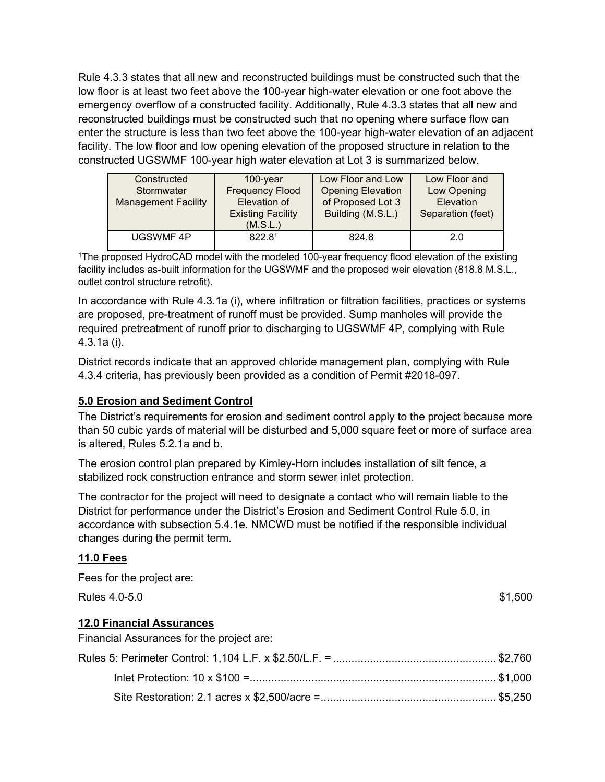Rule 4.3.3 states that all new and reconstructed buildings must be constructed such that the low floor is at least two feet above the 100-year high-water elevation or one foot above the emergency overflow of a constructed facility. Additionally, Rule 4.3.3 states that all new and reconstructed buildings must be constructed such that no opening where surface flow can enter the structure is less than two feet above the 100-year high-water elevation of an adjacent facility. The low floor and low opening elevation of the proposed structure in relation to the constructed UGSWMF 100-year high water elevation at Lot 3 is summarized below.

| Constructed<br>Stormwater<br><b>Management Facility</b> | $100$ -year<br><b>Frequency Flood</b><br>Elevation of<br><b>Existing Facility</b><br>(M.S.L.) | Low Floor and Low<br><b>Opening Elevation</b><br>of Proposed Lot 3<br>Building (M.S.L.) | Low Floor and<br>Low Opening<br><b>Elevation</b><br>Separation (feet) |
|---------------------------------------------------------|-----------------------------------------------------------------------------------------------|-----------------------------------------------------------------------------------------|-----------------------------------------------------------------------|
| <b>UGSWMF4P</b>                                         | 822.81                                                                                        | 824.8                                                                                   | 2.0                                                                   |

<sup>1</sup>The proposed HydroCAD model with the modeled 100-year frequency flood elevation of the existing facility includes as-built information for the UGSWMF and the proposed weir elevation (818.8 M.S.L., outlet control structure retrofit).

In accordance with Rule 4.3.1a (i), where infiltration or filtration facilities, practices or systems are proposed, pre-treatment of runoff must be provided. Sump manholes will provide the required pretreatment of runoff prior to discharging to UGSWMF 4P, complying with Rule 4.3.1a (i).

District records indicate that an approved chloride management plan, complying with Rule 4.3.4 criteria, has previously been provided as a condition of Permit #2018-097.

## **5.0 Erosion and Sediment Control**

The District's requirements for erosion and sediment control apply to the project because more than 50 cubic yards of material will be disturbed and 5,000 square feet or more of surface area is altered, Rules 5.2.1a and b.

The erosion control plan prepared by Kimley-Horn includes installation of silt fence, a stabilized rock construction entrance and storm sewer inlet protection.

The contractor for the project will need to designate a contact who will remain liable to the District for performance under the District's Erosion and Sediment Control Rule 5.0, in accordance with subsection 5.4.1e. NMCWD must be notified if the responsible individual changes during the permit term.

#### **11.0 Fees**

| Fees for the project are:                 |         |
|-------------------------------------------|---------|
| Rules 4.0-5.0                             | \$1,500 |
| <b>12.0 Financial Assurances</b>          |         |
| Financial Assurances for the project are: |         |
|                                           |         |
|                                           |         |

Site Restoration: 2.1 acres x \$2,500/acre =......................................................... \$5,250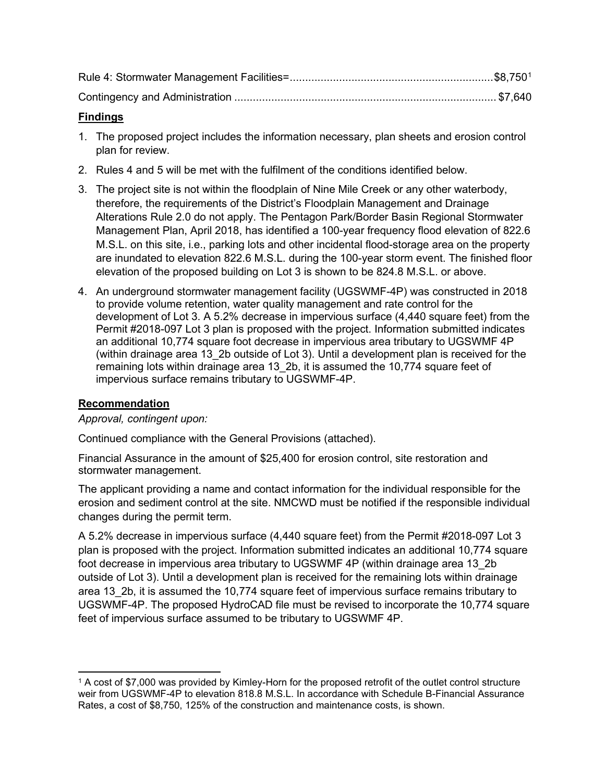### **Findings**

- 1. The proposed project includes the information necessary, plan sheets and erosion control plan for review.
- 2. Rules 4 and 5 will be met with the fulfilment of the conditions identified below.
- 3. The project site is not within the floodplain of Nine Mile Creek or any other waterbody, therefore, the requirements of the District's Floodplain Management and Drainage Alterations Rule 2.0 do not apply. The Pentagon Park/Border Basin Regional Stormwater Management Plan, April 2018, has identified a 100-year frequency flood elevation of 822.6 M.S.L. on this site, i.e., parking lots and other incidental flood-storage area on the property are inundated to elevation 822.6 M.S.L. during the 100-year storm event. The finished floor elevation of the proposed building on Lot 3 is shown to be 824.8 M.S.L. or above.
- 4. An underground stormwater management facility (UGSWMF-4P) was constructed in 2018 to provide volume retention, water quality management and rate control for the development of Lot 3. A 5.2% decrease in impervious surface (4,440 square feet) from the Permit #2018-097 Lot 3 plan is proposed with the project. Information submitted indicates an additional 10,774 square foot decrease in impervious area tributary to UGSWMF 4P (within drainage area 13\_2b outside of Lot 3). Until a development plan is received for the remaining lots within drainage area 13\_2b, it is assumed the 10,774 square feet of impervious surface remains tributary to UGSWMF-4P.

## **Recommendation**

*Approval, contingent upon:*

Continued compliance with the General Provisions (attached).

Financial Assurance in the amount of \$25,400 for erosion control, site restoration and stormwater management.

The applicant providing a name and contact information for the individual responsible for the erosion and sediment control at the site. NMCWD must be notified if the responsible individual changes during the permit term.

A 5.2% decrease in impervious surface (4,440 square feet) from the Permit #2018-097 Lot 3 plan is proposed with the project. Information submitted indicates an additional 10,774 square foot decrease in impervious area tributary to UGSWMF 4P (within drainage area 13\_2b outside of Lot 3). Until a development plan is received for the remaining lots within drainage area 13\_2b, it is assumed the 10,774 square feet of impervious surface remains tributary to UGSWMF-4P. The proposed HydroCAD file must be revised to incorporate the 10,774 square feet of impervious surface assumed to be tributary to UGSWMF 4P.

<span id="page-5-0"></span><sup>1</sup> A cost of \$7,000 was provided by Kimley-Horn for the proposed retrofit of the outlet control structure weir from UGSWMF-4P to elevation 818.8 M.S.L. In accordance with Schedule B-Financial Assurance Rates, a cost of \$8,750, 125% of the construction and maintenance costs, is shown.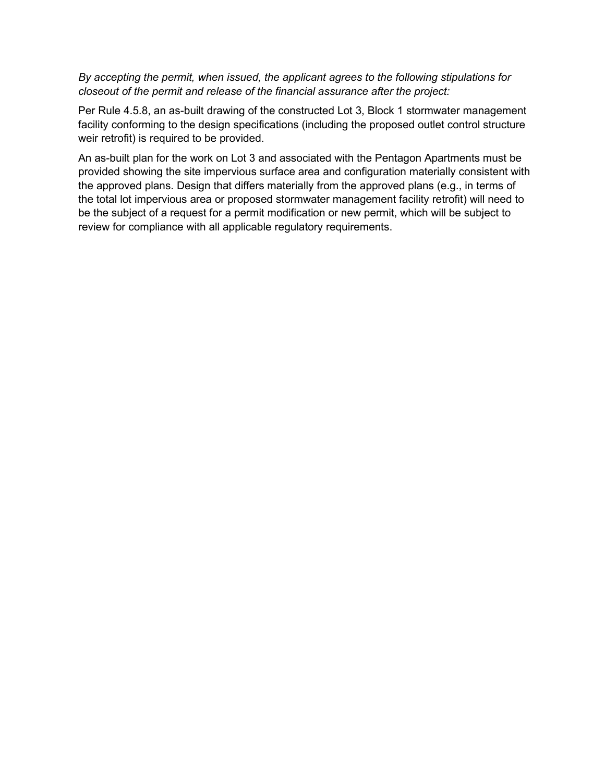#### *By accepting the permit, when issued, the applicant agrees to the following stipulations for closeout of the permit and release of the financial assurance after the project:*

Per Rule 4.5.8, an as-built drawing of the constructed Lot 3, Block 1 stormwater management facility conforming to the design specifications (including the proposed outlet control structure weir retrofit) is required to be provided.

An as-built plan for the work on Lot 3 and associated with the Pentagon Apartments must be provided showing the site impervious surface area and configuration materially consistent with the approved plans. Design that differs materially from the approved plans (e.g., in terms of the total lot impervious area or proposed stormwater management facility retrofit) will need to be the subject of a request for a permit modification or new permit, which will be subject to review for compliance with all applicable regulatory requirements.